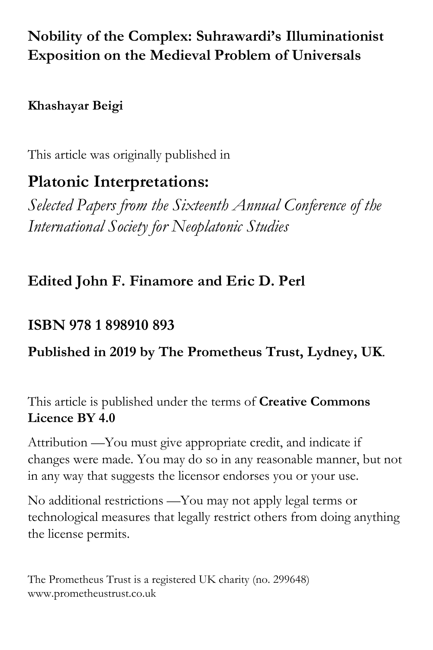## **Nobility of the Complex: Suhrawardi's Illuminationist Exposition on the Medieval Problem of Universals**

### **Khashayar Beigi**

This article was originally published in

# **Platonic Interpretations:**

*Selected Papers from the Sixteenth Annual Conference of the International Society for Neoplatonic Studies*

## **Edited John F. Finamore and Eric D. Perl**

## **ISBN 978 1 898910 893**

### **Published in 2019 by The Prometheus Trust, Lydney, UK**.

This article is published under the terms of **Creative Commons Licence BY 4.0**

Attribution —You must give appropriate credit, and indicate if changes were made. You may do so in any reasonable manner, but not in any way that suggests the licensor endorses you or your use.

No additional restrictions —You may not apply legal terms or technological measures that legally restrict others from doing anything the license permits.

The Prometheus Trust is a registered UK charity (no. 299648) www.prometheustrust.co.uk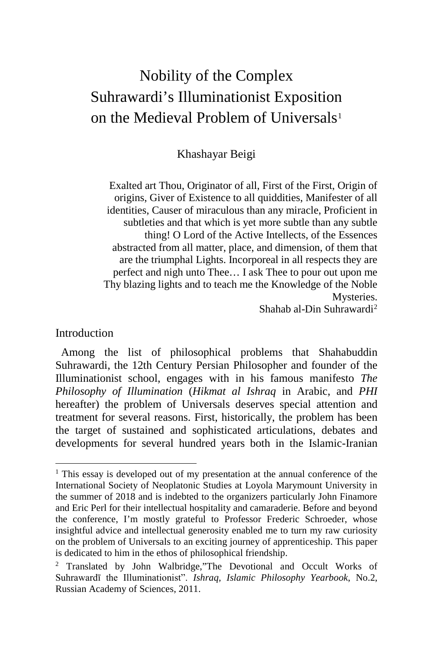# Nobility of the Complex Suhrawardi's Illuminationist Exposition on the Medieval Problem of Universals<sup>[1](#page-1-0)</sup>

Khashayar Beigi

Exalted art Thou, Originator of all, First of the First, Origin of origins, Giver of Existence to all quiddities, Manifester of all identities, Causer of miraculous than any miracle, Proficient in subtleties and that which is yet more subtle than any subtle thing! O Lord of the Active Intellects, of the Essences abstracted from all matter, place, and dimension, of them that are the triumphal Lights. Incorporeal in all respects they are perfect and nigh unto Thee… I ask Thee to pour out upon me Thy blazing lights and to teach me the Knowledge of the Noble Mysteries.

Shahab al-Din Suhrawardi[2](#page-1-1)

#### **Introduction**

 Among the list of philosophical problems that Shahabuddin Suhrawardi, the 12th Century Persian Philosopher and founder of the Illuminationist school, engages with in his famous manifesto *The Philosophy of Illumination* (*Hikmat al Ishraq* in Arabic, and *PHI* hereafter) the problem of Universals deserves special attention and treatment for several reasons. First, historically, the problem has been the target of sustained and sophisticated articulations, debates and developments for several hundred years both in the Islamic-Iranian

<span id="page-1-0"></span><sup>&</sup>lt;sup>1</sup> This essay is developed out of my presentation at the annual conference of the International Society of Neoplatonic Studies at Loyola Marymount University in the summer of 2018 and is indebted to the organizers particularly John Finamore and Eric Perl for their intellectual hospitality and camaraderie. Before and beyond the conference, I'm mostly grateful to Professor Frederic Schroeder, whose insightful advice and intellectual generosity enabled me to turn my raw curiosity on the problem of Universals to an exciting journey of apprenticeship. This paper is dedicated to him in the ethos of philosophical friendship.

<span id="page-1-1"></span><sup>2</sup> Translated by John Walbridge,"The Devotional and Occult Works of Suhrawardī the Illuminationist". *Ishraq, Islamic Philosophy Yearbook*, No.2, Russian Academy of Sciences, 2011.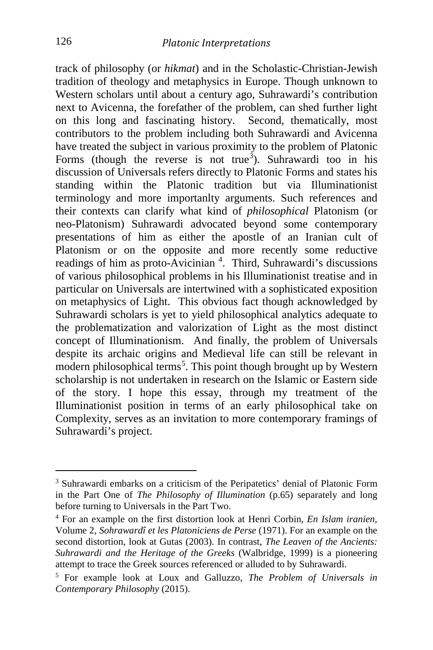track of philosophy (or *hikmat*) and in the Scholastic-Christian-Jewish tradition of theology and metaphysics in Europe. Though unknown to Western scholars until about a century ago, Suhrawardi's contribution next to Avicenna, the forefather of the problem, can shed further light on this long and fascinating history. Second, thematically, most contributors to the problem including both Suhrawardi and Avicenna have treated the subject in various proximity to the problem of Platonic Forms (though the reverse is not true<sup>[3](#page-2-0)</sup>). Suhrawardi too in his discussion of Universals refers directly to Platonic Forms and states his standing within the Platonic tradition but via Illuminationist terminology and more importanlty arguments. Such references and their contexts can clarify what kind of *philosophical* Platonism (or neo-Platonism) Suhrawardi advocated beyond some contemporary presentations of him as either the apostle of an Iranian cult of Platonism or on the opposite and more recently some reductive readings of him as proto-Avicinian<sup>[4](#page-2-1)</sup>. Third, Suhrawardi's discussions of various philosophical problems in his Illuminationist treatise and in particular on Universals are intertwined with a sophisticated exposition on metaphysics of Light. This obvious fact though acknowledged by Suhrawardi scholars is yet to yield philosophical analytics adequate to the problematization and valorization of Light as the most distinct concept of Illuminationism. And finally, the problem of Universals despite its archaic origins and Medieval life can still be relevant in modern philosophical terms<sup>[5](#page-2-2)</sup>. This point though brought up by Western scholarship is not undertaken in research on the Islamic or Eastern side of the story. I hope this essay, through my treatment of the Illuminationist position in terms of an early philosophical take on Complexity, serves as an invitation to more contemporary framings of Suhrawardi's project.

<span id="page-2-0"></span>i, <sup>3</sup> Suhrawardi embarks on a criticism of the Peripatetics' denial of Platonic Form in the Part One of *The Philosophy of Illumination* (p.65) separately and long before turning to Universals in the Part Two.

<span id="page-2-1"></span><sup>4</sup> For an example on the first distortion look at Henri Corbin, *En Islam iranien*, Volume 2, *Sohrawardî et les Platoniciens de Perse* (1971). For an example on the second distortion, look at Gutas (2003). In contrast, *The Leaven of the Ancients: Suhrawardi and the Heritage of the Greeks* (Walbridge, 1999) is a pioneering attempt to trace the Greek sources referenced or alluded to by Suhrawardi.

<span id="page-2-2"></span><sup>5</sup> For example look at Loux and Galluzzo, *The Problem of Universals in Contemporary Philosophy* (2015).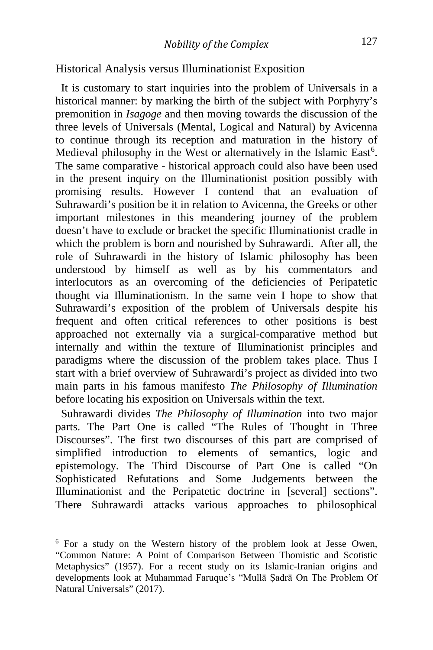#### Historical Analysis versus Illuminationist Exposition

 It is customary to start inquiries into the problem of Universals in a historical manner: by marking the birth of the subject with Porphyry's premonition in *Isagoge* and then moving towards the discussion of the three levels of Universals (Mental, Logical and Natural) by Avicenna to continue through its reception and maturation in the history of Medieval philosophy in the West or alternatively in the Islamic East<sup>[6](#page-3-0)</sup>. The same comparative - historical approach could also have been used in the present inquiry on the Illuminationist position possibly with promising results. However I contend that an evaluation of Suhrawardi's position be it in relation to Avicenna, the Greeks or other important milestones in this meandering journey of the problem doesn't have to exclude or bracket the specific Illuminationist cradle in which the problem is born and nourished by Suhrawardi. After all, the role of Suhrawardi in the history of Islamic philosophy has been understood by himself as well as by his commentators and interlocutors as an overcoming of the deficiencies of Peripatetic thought via Illuminationism. In the same vein I hope to show that Suhrawardi's exposition of the problem of Universals despite his frequent and often critical references to other positions is best approached not externally via a surgical-comparative method but internally and within the texture of Illuminationist principles and paradigms where the discussion of the problem takes place. Thus I start with a brief overview of Suhrawardi's project as divided into two main parts in his famous manifesto *The Philosophy of Illumination*  before locating his exposition on Universals within the text.

 Suhrawardi divides *The Philosophy of Illumination* into two major parts. The Part One is called "The Rules of Thought in Three Discourses". The first two discourses of this part are comprised of simplified introduction to elements of semantics, logic and epistemology. The Third Discourse of Part One is called "On Sophisticated Refutations and Some Judgements between the Illuminationist and the Peripatetic doctrine in [several] sections". There Suhrawardi attacks various approaches to philosophical

<span id="page-3-0"></span><sup>6</sup> For a study on the Western history of the problem look at Jesse Owen, "Common Nature: A Point of Comparison Between Thomistic and Scotistic Metaphysics" (1957). For a recent study on its Islamic-Iranian origins and developments look at Muhammad Faruque's "Mullā Ṣadrā On The Problem Of Natural Universals" (2017).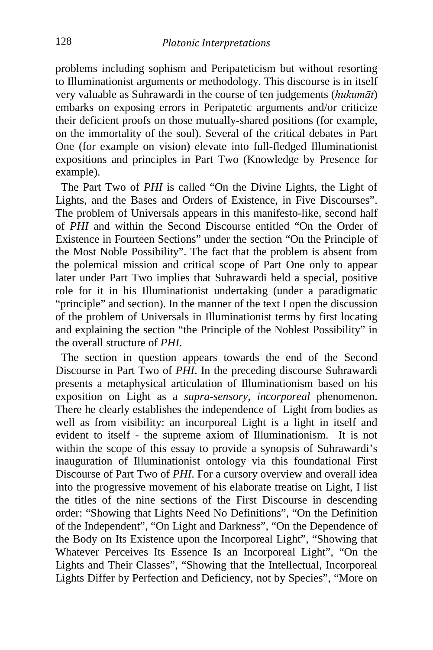problems including sophism and Peripateticism but without resorting to Illuminationist arguments or methodology. This discourse is in itself very valuable as Suhrawardi in the course of ten judgements (*hukumāt*) embarks on exposing errors in Peripatetic arguments and/or criticize their deficient proofs on those mutually-shared positions (for example, on the immortality of the soul). Several of the critical debates in Part One (for example on vision) elevate into full-fledged Illuminationist expositions and principles in Part Two (Knowledge by Presence for example).

 The Part Two of *PHI* is called "On the Divine Lights, the Light of Lights, and the Bases and Orders of Existence, in Five Discourses". The problem of Universals appears in this manifesto-like, second half of *PHI* and within the Second Discourse entitled "On the Order of Existence in Fourteen Sections" under the section "On the Principle of the Most Noble Possibility". The fact that the problem is absent from the polemical mission and critical scope of Part One only to appear later under Part Two implies that Suhrawardi held a special, positive role for it in his Illuminationist undertaking (under a paradigmatic "principle" and section). In the manner of the text I open the discussion of the problem of Universals in Illuminationist terms by first locating and explaining the section "the Principle of the Noblest Possibility" in the overall structure of *PHI*.

 The section in question appears towards the end of the Second Discourse in Part Two of *PHI*. In the preceding discourse Suhrawardi presents a metaphysical articulation of Illuminationism based on his exposition on Light as a *supra-sensory*, *incorporeal* phenomenon. There he clearly establishes the independence of Light from bodies as well as from visibility: an incorporeal Light is a light in itself and evident to itself - the supreme axiom of Illuminationism. It is not within the scope of this essay to provide a synopsis of Suhrawardi's inauguration of Illuminationist ontology via this foundational First Discourse of Part Two of *PHI*. For a cursory overview and overall idea into the progressive movement of his elaborate treatise on Light, I list the titles of the nine sections of the First Discourse in descending order: "Showing that Lights Need No Definitions", "On the Definition of the Independent", "On Light and Darkness", "On the Dependence of the Body on Its Existence upon the Incorporeal Light", "Showing that Whatever Perceives Its Essence Is an Incorporeal Light", "On the Lights and Their Classes", "Showing that the Intellectual, Incorporeal Lights Differ by Perfection and Deficiency, not by Species", "More on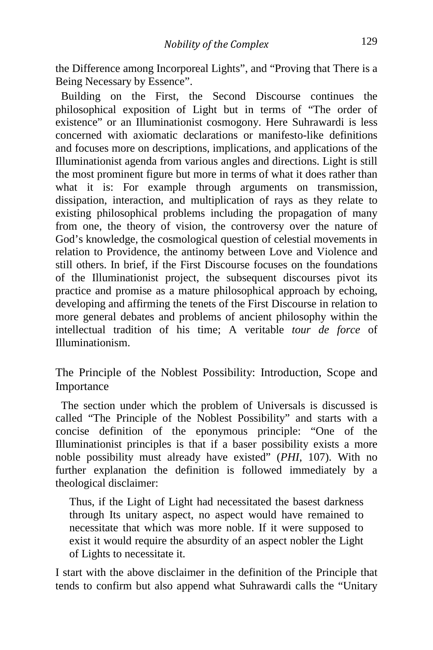the Difference among Incorporeal Lights", and "Proving that There is a Being Necessary by Essence".

 Building on the First, the Second Discourse continues the philosophical exposition of Light but in terms of "The order of existence" or an Illuminationist cosmogony. Here Suhrawardi is less concerned with axiomatic declarations or manifesto-like definitions and focuses more on descriptions, implications, and applications of the Illuminationist agenda from various angles and directions. Light is still the most prominent figure but more in terms of what it does rather than what it is: For example through arguments on transmission, dissipation, interaction, and multiplication of rays as they relate to existing philosophical problems including the propagation of many from one, the theory of vision, the controversy over the nature of God's knowledge, the cosmological question of celestial movements in relation to Providence, the antinomy between Love and Violence and still others. In brief, if the First Discourse focuses on the foundations of the Illuminationist project, the subsequent discourses pivot its practice and promise as a mature philosophical approach by echoing, developing and affirming the tenets of the First Discourse in relation to more general debates and problems of ancient philosophy within the intellectual tradition of his time; A veritable *tour de force* of Illuminationism.

The Principle of the Noblest Possibility: Introduction, Scope and Importance

 The section under which the problem of Universals is discussed is called "The Principle of the Noblest Possibility" and starts with a concise definition of the eponymous principle: "One of the Illuminationist principles is that if a baser possibility exists a more noble possibility must already have existed" (*PHI*, 107). With no further explanation the definition is followed immediately by a theological disclaimer:

Thus, if the Light of Light had necessitated the basest darkness through Its unitary aspect, no aspect would have remained to necessitate that which was more noble. If it were supposed to exist it would require the absurdity of an aspect nobler the Light of Lights to necessitate it.

I start with the above disclaimer in the definition of the Principle that tends to confirm but also append what Suhrawardi calls the "Unitary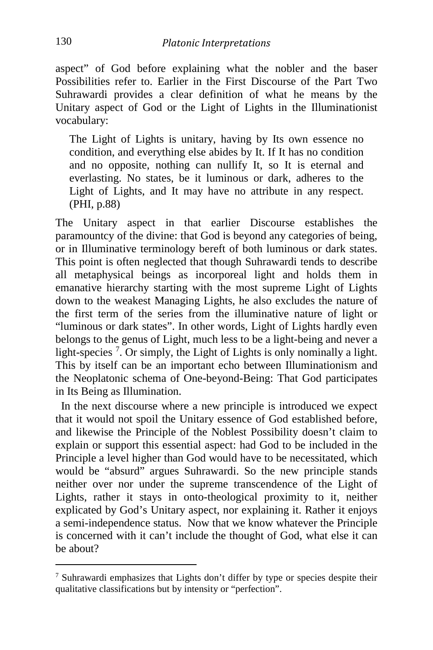aspect" of God before explaining what the nobler and the baser Possibilities refer to. Earlier in the First Discourse of the Part Two Suhrawardi provides a clear definition of what he means by the Unitary aspect of God or the Light of Lights in the Illuminationist vocabulary:

The Light of Lights is unitary, having by Its own essence no condition, and everything else abides by It. If It has no condition and no opposite, nothing can nullify It, so It is eternal and everlasting. No states, be it luminous or dark, adheres to the Light of Lights, and It may have no attribute in any respect. (PHI, p.88)

The Unitary aspect in that earlier Discourse establishes the paramountcy of the divine: that God is beyond any categories of being, or in Illuminative terminology bereft of both luminous or dark states. This point is often neglected that though Suhrawardi tends to describe all metaphysical beings as incorporeal light and holds them in emanative hierarchy starting with the most supreme Light of Lights down to the weakest Managing Lights, he also excludes the nature of the first term of the series from the illuminative nature of light or "luminous or dark states". In other words, Light of Lights hardly even belongs to the genus of Light, much less to be a light-being and never a light-species<sup>[7](#page-6-0)</sup>. Or simply, the Light of Lights is only nominally a light. This by itself can be an important echo between Illuminationism and the Neoplatonic schema of One-beyond-Being: That God participates in Its Being as Illumination.

 In the next discourse where a new principle is introduced we expect that it would not spoil the Unitary essence of God established before, and likewise the Principle of the Noblest Possibility doesn't claim to explain or support this essential aspect: had God to be included in the Principle a level higher than God would have to be necessitated, which would be "absurd" argues Suhrawardi. So the new principle stands neither over nor under the supreme transcendence of the Light of Lights, rather it stays in onto-theological proximity to it, neither explicated by God's Unitary aspect, nor explaining it. Rather it enjoys a semi-independence status. Now that we know whatever the Principle is concerned with it can't include the thought of God, what else it can be about?

i,

<span id="page-6-0"></span> $7$  Suhrawardi emphasizes that Lights don't differ by type or species despite their qualitative classifications but by intensity or "perfection".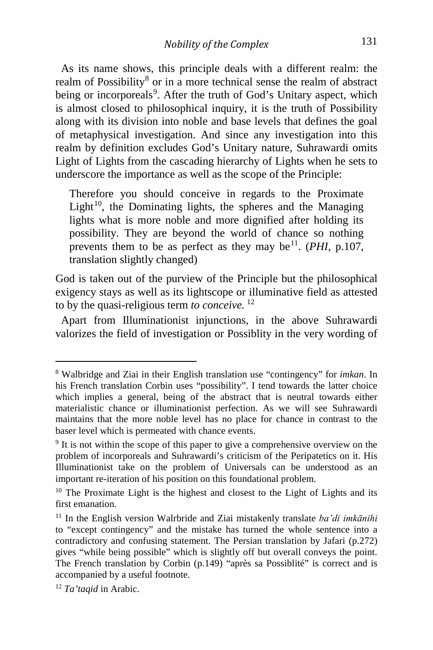As its name shows, this principle deals with a different realm: the realm of Possibility<sup>[8](#page-7-0)</sup> or in a more technical sense the realm of abstract being or incorporeals<sup>[9](#page-7-1)</sup>. After the truth of God's Unitary aspect, which is almost closed to philosophical inquiry, it is the truth of Possibility along with its division into noble and base levels that defines the goal of metaphysical investigation. And since any investigation into this realm by definition excludes God's Unitary nature, Suhrawardi omits Light of Lights from the cascading hierarchy of Lights when he sets to underscore the importance as well as the scope of the Principle:

Therefore you should conceive in regards to the Proximate Light $10$ , the Dominating lights, the spheres and the Managing lights what is more noble and more dignified after holding its possibility. They are beyond the world of chance so nothing prevents them to be as perfect as they may be<sup>11</sup>. (*PHI*, p.107, translation slightly changed)

God is taken out of the purview of the Principle but the philosophical exigency stays as well as its lightscope or illuminative field as attested to by the quasi-religious term *to conceive.* [12](#page-7-4)

 Apart from Illuminationist injunctions, in the above Suhrawardi valorizes the field of investigation or Possiblity in the very wording of

<span id="page-7-0"></span><sup>8</sup> Walbridge and Ziai in their English translation use "contingency" for *imkan*. In his French translation Corbin uses "possibility". I tend towards the latter choice which implies a general, being of the abstract that is neutral towards either materialistic chance or illuminationist perfection. As we will see Suhrawardi maintains that the more noble level has no place for chance in contrast to the baser level which is permeated with chance events.

<span id="page-7-1"></span><sup>&</sup>lt;sup>9</sup> It is not within the scope of this paper to give a comprehensive overview on the problem of incorporeals and Suhrawardi's criticism of the Peripatetics on it. His Illuminationist take on the problem of Universals can be understood as an important re-iteration of his position on this foundational problem.

<span id="page-7-2"></span><sup>&</sup>lt;sup>10</sup> The Proximate Light is the highest and closest to the Light of Lights and its first emanation.

<span id="page-7-3"></span><sup>11</sup> In the English version Walrbride and Ziai mistakenly translate *ba'di imkānihi*  to "except contingency" and the mistake has turned the whole sentence into a contradictory and confusing statement. The Persian translation by Jafari (p.272) gives "while being possible" which is slightly off but overall conveys the point. The French translation by Corbin (p.149) "après sa Possiblité" is correct and is accompanied by a useful footnote.

<span id="page-7-4"></span><sup>12</sup> *Ta'taqid* in Arabic.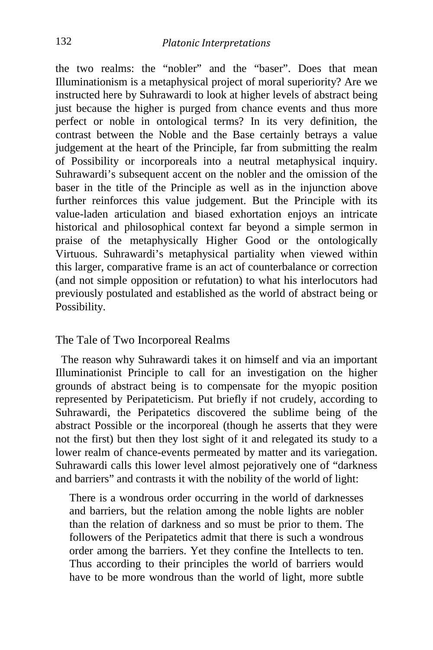the two realms: the "nobler" and the "baser". Does that mean Illuminationism is a metaphysical project of moral superiority? Are we instructed here by Suhrawardi to look at higher levels of abstract being just because the higher is purged from chance events and thus more perfect or noble in ontological terms? In its very definition, the contrast between the Noble and the Base certainly betrays a value judgement at the heart of the Principle, far from submitting the realm of Possibility or incorporeals into a neutral metaphysical inquiry. Suhrawardi's subsequent accent on the nobler and the omission of the baser in the title of the Principle as well as in the injunction above further reinforces this value judgement. But the Principle with its value-laden articulation and biased exhortation enjoys an intricate historical and philosophical context far beyond a simple sermon in praise of the metaphysically Higher Good or the ontologically Virtuous. Suhrawardi's metaphysical partiality when viewed within this larger, comparative frame is an act of counterbalance or correction (and not simple opposition or refutation) to what his interlocutors had previously postulated and established as the world of abstract being or Possibility.

#### The Tale of Two Incorporeal Realms

 The reason why Suhrawardi takes it on himself and via an important Illuminationist Principle to call for an investigation on the higher grounds of abstract being is to compensate for the myopic position represented by Peripateticism. Put briefly if not crudely, according to Suhrawardi, the Peripatetics discovered the sublime being of the abstract Possible or the incorporeal (though he asserts that they were not the first) but then they lost sight of it and relegated its study to a lower realm of chance-events permeated by matter and its variegation. Suhrawardi calls this lower level almost pejoratively one of "darkness and barriers" and contrasts it with the nobility of the world of light:

There is a wondrous order occurring in the world of darknesses and barriers, but the relation among the noble lights are nobler than the relation of darkness and so must be prior to them. The followers of the Peripatetics admit that there is such a wondrous order among the barriers. Yet they confine the Intellects to ten. Thus according to their principles the world of barriers would have to be more wondrous than the world of light, more subtle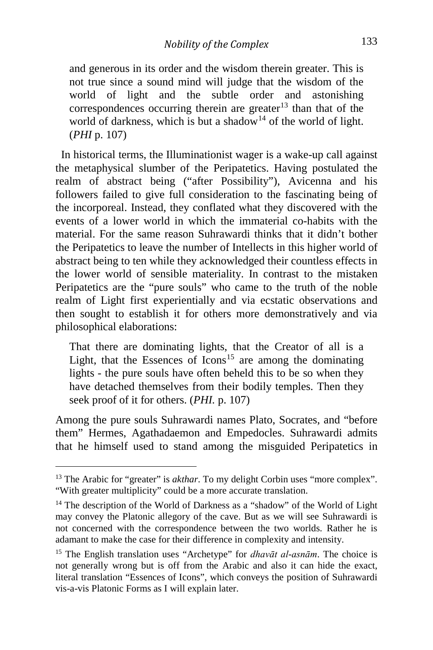and generous in its order and the wisdom therein greater. This is not true since a sound mind will judge that the wisdom of the world of light and the subtle order and astonishing correspondences occurring therein are greater<sup>[13](#page-9-0)</sup> than that of the world of darkness, which is but a shadow<sup>[14](#page-9-1)</sup> of the world of light. (*PHI* p. 107)

 In historical terms, the Illuminationist wager is a wake-up call against the metaphysical slumber of the Peripatetics. Having postulated the realm of abstract being ("after Possibility"), Avicenna and his followers failed to give full consideration to the fascinating being of the incorporeal. Instead, they conflated what they discovered with the events of a lower world in which the immaterial co-habits with the material. For the same reason Suhrawardi thinks that it didn't bother the Peripatetics to leave the number of Intellects in this higher world of abstract being to ten while they acknowledged their countless effects in the lower world of sensible materiality. In contrast to the mistaken Peripatetics are the "pure souls" who came to the truth of the noble realm of Light first experientially and via ecstatic observations and then sought to establish it for others more demonstratively and via philosophical elaborations:

That there are dominating lights, that the Creator of all is a Light, that the Essences of Icons<sup>[15](#page-9-2)</sup> are among the dominating lights - the pure souls have often beheld this to be so when they have detached themselves from their bodily temples. Then they seek proof of it for others. (*PHI.* p. 107)

Among the pure souls Suhrawardi names Plato, Socrates, and "before them" Hermes, Agathadaemon and Empedocles. Suhrawardi admits that he himself used to stand among the misguided Peripatetics in

<span id="page-9-0"></span><sup>&</sup>lt;sup>13</sup> The Arabic for "greater" is *akthar*. To my delight Corbin uses "more complex". "With greater multiplicity" could be a more accurate translation.

<span id="page-9-1"></span><sup>&</sup>lt;sup>14</sup> The description of the World of Darkness as a "shadow" of the World of Light may convey the Platonic allegory of the cave. But as we will see Suhrawardi is not concerned with the correspondence between the two worlds. Rather he is adamant to make the case for their difference in complexity and intensity.

<span id="page-9-2"></span><sup>15</sup> The English translation uses "Archetype" for *dhavāt al-asnām*. The choice is not generally wrong but is off from the Arabic and also it can hide the exact, literal translation "Essences of Icons", which conveys the position of Suhrawardi vis-a-vis Platonic Forms as I will explain later.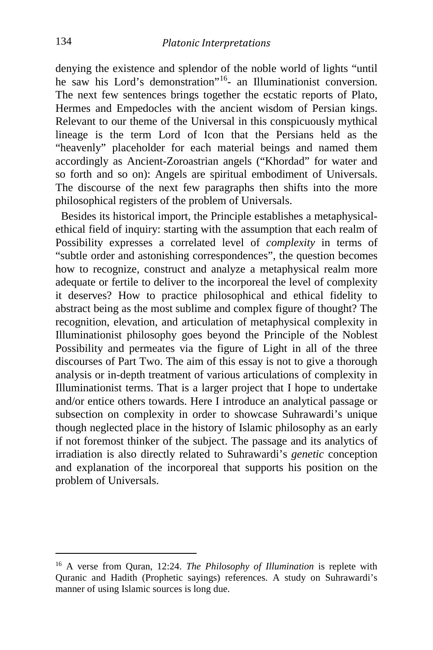denying the existence and splendor of the noble world of lights "until he saw his Lord's demonstration<sup>"[16](#page-10-0)</sup>- an Illuminationist conversion. The next few sentences brings together the ecstatic reports of Plato, Hermes and Empedocles with the ancient wisdom of Persian kings. Relevant to our theme of the Universal in this conspicuously mythical lineage is the term Lord of Icon that the Persians held as the "heavenly" placeholder for each material beings and named them accordingly as Ancient-Zoroastrian angels ("Khordad" for water and so forth and so on): Angels are spiritual embodiment of Universals. The discourse of the next few paragraphs then shifts into the more philosophical registers of the problem of Universals.

 Besides its historical import, the Principle establishes a metaphysicalethical field of inquiry: starting with the assumption that each realm of Possibility expresses a correlated level of *complexity* in terms of "subtle order and astonishing correspondences", the question becomes how to recognize, construct and analyze a metaphysical realm more adequate or fertile to deliver to the incorporeal the level of complexity it deserves? How to practice philosophical and ethical fidelity to abstract being as the most sublime and complex figure of thought? The recognition, elevation, and articulation of metaphysical complexity in Illuminationist philosophy goes beyond the Principle of the Noblest Possibility and permeates via the figure of Light in all of the three discourses of Part Two. The aim of this essay is not to give a thorough analysis or in-depth treatment of various articulations of complexity in Illuminationist terms. That is a larger project that I hope to undertake and/or entice others towards. Here I introduce an analytical passage or subsection on complexity in order to showcase Suhrawardi's unique though neglected place in the history of Islamic philosophy as an early if not foremost thinker of the subject. The passage and its analytics of irradiation is also directly related to Suhrawardi's *genetic* conception and explanation of the incorporeal that supports his position on the problem of Universals.

i,

<span id="page-10-0"></span><sup>16</sup> A verse from Quran, 12:24. *The Philosophy of Illumination* is replete with Quranic and Hadith (Prophetic sayings) references. A study on Suhrawardi's manner of using Islamic sources is long due.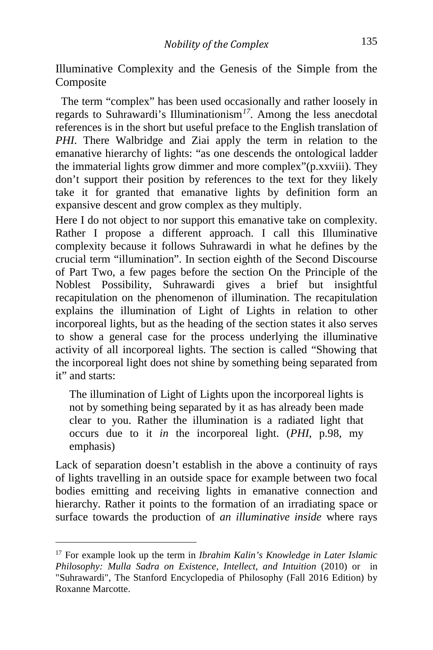Illuminative Complexity and the Genesis of the Simple from the Composite

 The term "complex" has been used occasionally and rather loosely in regards to Suhrawardi's Illuminationism*[17](#page-11-0)*. Among the less anecdotal references is in the short but useful preface to the English translation of *PHI*. There Walbridge and Ziai apply the term in relation to the emanative hierarchy of lights: "as one descends the ontological ladder the immaterial lights grow dimmer and more complex"(p.xxviii). They don't support their position by references to the text for they likely take it for granted that emanative lights by definition form an expansive descent and grow complex as they multiply.

Here I do not object to nor support this emanative take on complexity. Rather I propose a different approach. I call this Illuminative complexity because it follows Suhrawardi in what he defines by the crucial term "illumination". In section eighth of the Second Discourse of Part Two, a few pages before the section On the Principle of the Noblest Possibility, Suhrawardi gives a brief but insightful recapitulation on the phenomenon of illumination. The recapitulation explains the illumination of Light of Lights in relation to other incorporeal lights, but as the heading of the section states it also serves to show a general case for the process underlying the illuminative activity of all incorporeal lights. The section is called "Showing that the incorporeal light does not shine by something being separated from it" and starts:

The illumination of Light of Lights upon the incorporeal lights is not by something being separated by it as has already been made clear to you. Rather the illumination is a radiated light that occurs due to it *in* the incorporeal light. (*PHI*, p.98, my emphasis)

Lack of separation doesn't establish in the above a continuity of rays of lights travelling in an outside space for example between two focal bodies emitting and receiving lights in emanative connection and hierarchy. Rather it points to the formation of an irradiating space or surface towards the production of *an illuminative inside* where rays

<span id="page-11-0"></span><sup>17</sup> For example look up the term in *Ibrahim Kalin's Knowledge in Later Islamic Philosophy: Mulla Sadra on Existence, Intellect, and Intuition* (2010) or in "Suhrawardi", The Stanford Encyclopedia of Philosophy (Fall 2016 Edition) by Roxanne Marcotte.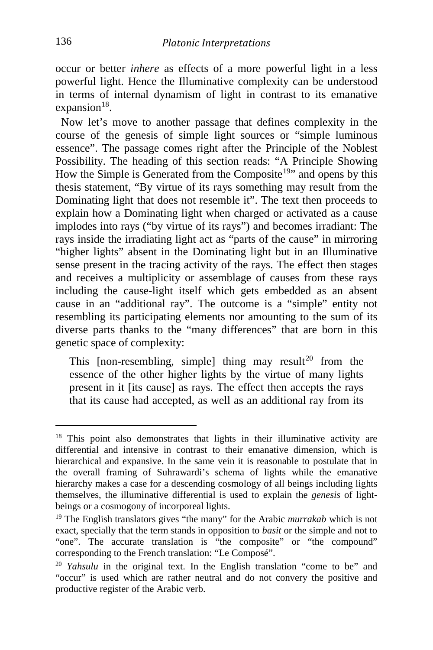occur or better *inhere* as effects of a more powerful light in a less powerful light. Hence the Illuminative complexity can be understood in terms of internal dynamism of light in contrast to its emanative  $expansion<sup>18</sup>$  $expansion<sup>18</sup>$  $expansion<sup>18</sup>$ .

 Now let's move to another passage that defines complexity in the course of the genesis of simple light sources or "simple luminous essence". The passage comes right after the Principle of the Noblest Possibility. The heading of this section reads: "A Principle Showing How the Simple is Generated from the Composite<sup>19</sup>" and opens by this thesis statement, "By virtue of its rays something may result from the Dominating light that does not resemble it". The text then proceeds to explain how a Dominating light when charged or activated as a cause implodes into rays ("by virtue of its rays") and becomes irradiant: The rays inside the irradiating light act as "parts of the cause" in mirroring "higher lights" absent in the Dominating light but in an Illuminative sense present in the tracing activity of the rays. The effect then stages and receives a multiplicity or assemblage of causes from these rays including the cause-light itself which gets embedded as an absent cause in an "additional ray". The outcome is a "simple" entity not resembling its participating elements nor amounting to the sum of its diverse parts thanks to the "many differences" that are born in this genetic space of complexity:

This  $[non-resembling, simple]$  thing may result<sup>[20](#page-12-2)</sup> from the essence of the other higher lights by the virtue of many lights present in it [its cause] as rays. The effect then accepts the rays that its cause had accepted, as well as an additional ray from its

<span id="page-12-0"></span><sup>&</sup>lt;sup>18</sup> This point also demonstrates that lights in their illuminative activity are differential and intensive in contrast to their emanative dimension, which is hierarchical and expansive. In the same vein it is reasonable to postulate that in the overall framing of Suhrawardi's schema of lights while the emanative hierarchy makes a case for a descending cosmology of all beings including lights themselves, the illuminative differential is used to explain the *genesis* of lightbeings or a cosmogony of incorporeal lights.

<span id="page-12-1"></span><sup>19</sup> The English translators gives "the many" for the Arabic *murrakab* which is not exact, specially that the term stands in opposition to *basit* or the simple and not to "one". The accurate translation is "the composite" or "the compound" corresponding to the French translation: "Le Composé".

<span id="page-12-2"></span><sup>20</sup> *Yahsulu* in the original text. In the English translation "come to be" and "occur" is used which are rather neutral and do not convery the positive and productive register of the Arabic verb.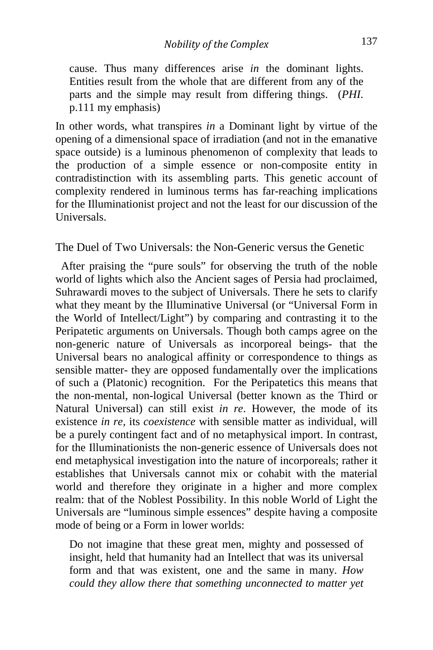cause. Thus many differences arise *in* the dominant lights. Entities result from the whole that are different from any of the parts and the simple may result from differing things. (*PHI*. p.111 my emphasis)

In other words, what transpires *in* a Dominant light by virtue of the opening of a dimensional space of irradiation (and not in the emanative space outside) is a luminous phenomenon of complexity that leads to the production of a simple essence or non-composite entity in contradistinction with its assembling parts. This genetic account of complexity rendered in luminous terms has far-reaching implications for the Illuminationist project and not the least for our discussion of the Universals.

The Duel of Two Universals: the Non-Generic versus the Genetic

 After praising the "pure souls" for observing the truth of the noble world of lights which also the Ancient sages of Persia had proclaimed, Suhrawardi moves to the subject of Universals. There he sets to clarify what they meant by the Illuminative Universal (or "Universal Form in the World of Intellect/Light") by comparing and contrasting it to the Peripatetic arguments on Universals. Though both camps agree on the non-generic nature of Universals as incorporeal beings- that the Universal bears no analogical affinity or correspondence to things as sensible matter- they are opposed fundamentally over the implications of such a (Platonic) recognition. For the Peripatetics this means that the non-mental, non-logical Universal (better known as the Third or Natural Universal) can still exist *in re*. However, the mode of its existence *in re,* its *coexistence* with sensible matter as individual, will be a purely contingent fact and of no metaphysical import. In contrast, for the Illuminationists the non-generic essence of Universals does not end metaphysical investigation into the nature of incorporeals; rather it establishes that Universals cannot mix or cohabit with the material world and therefore they originate in a higher and more complex realm: that of the Noblest Possibility. In this noble World of Light the Universals are "luminous simple essences" despite having a composite mode of being or a Form in lower worlds:

Do not imagine that these great men, mighty and possessed of insight, held that humanity had an Intellect that was its universal form and that was existent, one and the same in many. *How could they allow there that something unconnected to matter yet*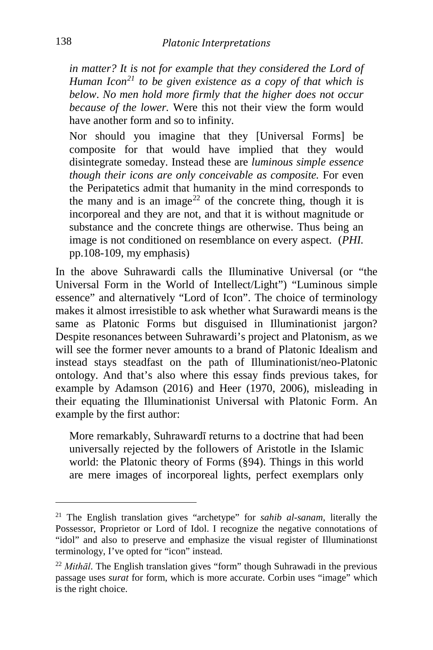*in matter? It is not for example that they considered the Lord of Human Icon[21](#page-14-0) to be given existence as a copy of that which is below*. *No men hold more firmly that the higher does not occur because of the lower.* Were this not their view the form would have another form and so to infinity.

Nor should you imagine that they [Universal Forms] be composite for that would have implied that they would disintegrate someday. Instead these are *luminous simple essence though their icons are only conceivable as composite.* For even the Peripatetics admit that humanity in the mind corresponds to the many and is an image<sup>[22](#page-14-1)</sup> of the concrete thing, though it is incorporeal and they are not, and that it is without magnitude or substance and the concrete things are otherwise. Thus being an image is not conditioned on resemblance on every aspect. (*PHI.*  pp.108-109, my emphasis)

In the above Suhrawardi calls the Illuminative Universal (or "the Universal Form in the World of Intellect/Light") "Luminous simple essence" and alternatively "Lord of Icon". The choice of terminology makes it almost irresistible to ask whether what Surawardi means is the same as Platonic Forms but disguised in Illuminationist jargon? Despite resonances between Suhrawardi's project and Platonism, as we will see the former never amounts to a brand of Platonic Idealism and instead stays steadfast on the path of Illuminationist/neo-Platonic ontology. And that's also where this essay finds previous takes, for example by Adamson (2016) and Heer (1970, 2006), misleading in their equating the Illuminationist Universal with Platonic Form. An example by the first author:

More remarkably, Suhrawardī returns to a doctrine that had been universally rejected by the followers of Aristotle in the Islamic world: the Platonic theory of Forms (§94). Things in this world are mere images of incorporeal lights, perfect exemplars only

i,

<span id="page-14-0"></span><sup>21</sup> The English translation gives "archetype" for *sahib al-sanam*, literally the Possessor, Proprietor or Lord of Idol. I recognize the negative connotations of "idol" and also to preserve and emphasize the visual register of Illuminationst terminology, I've opted for "icon" instead.

<span id="page-14-1"></span><sup>22</sup> *Mithāl*. The English translation gives "form" though Suhrawadi in the previous passage uses *surat* for form, which is more accurate. Corbin uses "image" which is the right choice.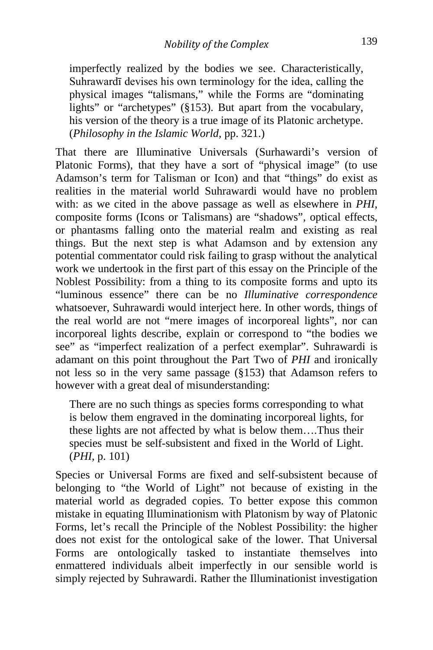imperfectly realized by the bodies we see. Characteristically, Suhrawardī devises his own terminology for the idea, calling the physical images "talismans," while the Forms are "dominating lights" or "archetypes" (§153). But apart from the vocabulary, his version of the theory is a true image of its Platonic archetype. (*Philosophy in the Islamic World*, pp. 321.)

That there are Illuminative Universals (Surhawardi's version of Platonic Forms), that they have a sort of "physical image" (to use Adamson's term for Talisman or Icon) and that "things" do exist as realities in the material world Suhrawardi would have no problem with: as we cited in the above passage as well as elsewhere in *PHI*, composite forms (Icons or Talismans) are "shadows", optical effects, or phantasms falling onto the material realm and existing as real things. But the next step is what Adamson and by extension any potential commentator could risk failing to grasp without the analytical work we undertook in the first part of this essay on the Principle of the Noblest Possibility: from a thing to its composite forms and upto its "luminous essence" there can be no *Illuminative correspondence* whatsoever, Suhrawardi would interject here. In other words, things of the real world are not "mere images of incorporeal lights", nor can incorporeal lights describe, explain or correspond to "the bodies we see" as "imperfect realization of a perfect exemplar". Suhrawardi is adamant on this point throughout the Part Two of *PHI* and ironically not less so in the very same passage (§153) that Adamson refers to however with a great deal of misunderstanding:

There are no such things as species forms corresponding to what is below them engraved in the dominating incorporeal lights, for these lights are not affected by what is below them….Thus their species must be self-subsistent and fixed in the World of Light. (*PHI*, p. 101)

Species or Universal Forms are fixed and self-subsistent because of belonging to "the World of Light" not because of existing in the material world as degraded copies. To better expose this common mistake in equating Illuminationism with Platonism by way of Platonic Forms, let's recall the Principle of the Noblest Possibility: the higher does not exist for the ontological sake of the lower. That Universal Forms are ontologically tasked to instantiate themselves into enmattered individuals albeit imperfectly in our sensible world is simply rejected by Suhrawardi. Rather the Illuminationist investigation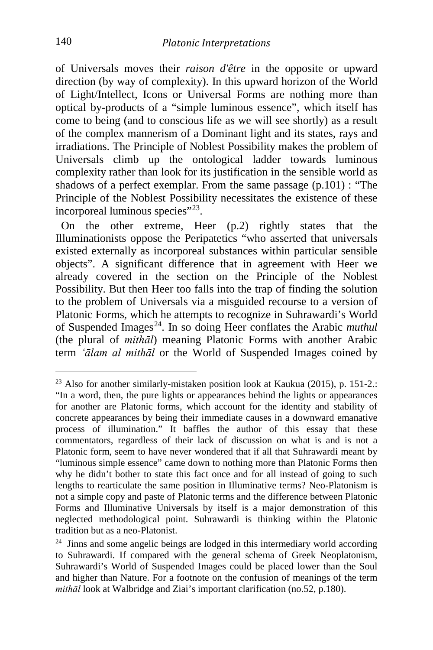of Universals moves their *raison d'être* in the opposite or upward direction (by way of complexity). In this upward horizon of the World of Light/Intellect, Icons or Universal Forms are nothing more than optical by-products of a "simple luminous essence", which itself has come to being (and to conscious life as we will see shortly) as a result of the complex mannerism of a Dominant light and its states, rays and irradiations. The Principle of Noblest Possibility makes the problem of Universals climb up the ontological ladder towards luminous complexity rather than look for its justification in the sensible world as shadows of a perfect exemplar. From the same passage (p.101) : "The Principle of the Noblest Possibility necessitates the existence of these incorporeal luminous species"<sup>[23](#page-16-0)</sup>.

 On the other extreme, Heer (p.2) rightly states that the Illuminationists oppose the Peripatetics "who asserted that universals existed externally as incorporeal substances within particular sensible objects". A significant difference that in agreement with Heer we already covered in the section on the Principle of the Noblest Possibility. But then Heer too falls into the trap of finding the solution to the problem of Universals via a misguided recourse to a version of Platonic Forms, which he attempts to recognize in Suhrawardi's World of Suspended Images[24](#page-16-1). In so doing Heer conflates the Arabic *muthul* (the plural of *mithāl*) meaning Platonic Forms with another Arabic term *'ālam al mithāl* or the World of Suspended Images coined by

<span id="page-16-0"></span><sup>&</sup>lt;sup>23</sup> Also for another similarly-mistaken position look at Kaukua (2015), p. 151-2.: "In a word, then, the pure lights or appearances behind the lights or appearances for another are Platonic forms, which account for the identity and stability of concrete appearances by being their immediate causes in a downward emanative process of illumination." It baffles the author of this essay that these commentators, regardless of their lack of discussion on what is and is not a Platonic form, seem to have never wondered that if all that Suhrawardi meant by "luminous simple essence" came down to nothing more than Platonic Forms then why he didn't bother to state this fact once and for all instead of going to such lengths to rearticulate the same position in Illuminative terms? Neo-Platonism is not a simple copy and paste of Platonic terms and the difference between Platonic Forms and Illuminative Universals by itself is a major demonstration of this neglected methodological point. Suhrawardi is thinking within the Platonic tradition but as a neo-Platonist.

<span id="page-16-1"></span><sup>&</sup>lt;sup>24</sup> Jinns and some angelic beings are lodged in this intermediary world according to Suhrawardi. If compared with the general schema of Greek Neoplatonism, Suhrawardi's World of Suspended Images could be placed lower than the Soul and higher than Nature. For a footnote on the confusion of meanings of the term *mithāl* look at Walbridge and Ziai's important clarification (no.52, p.180).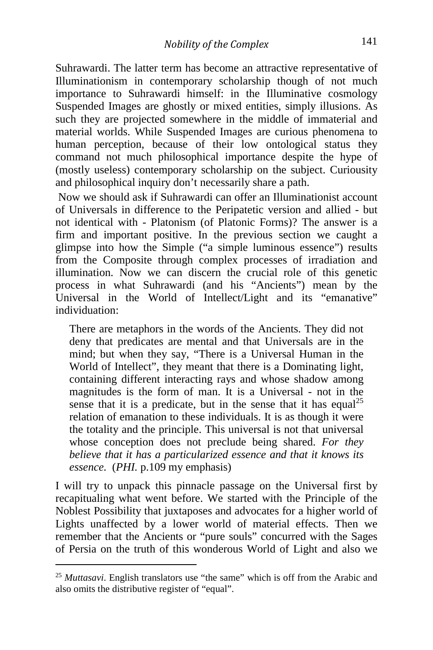Suhrawardi. The latter term has become an attractive representative of Illuminationism in contemporary scholarship though of not much importance to Suhrawardi himself: in the Illuminative cosmology Suspended Images are ghostly or mixed entities, simply illusions. As such they are projected somewhere in the middle of immaterial and material worlds. While Suspended Images are curious phenomena to human perception, because of their low ontological status they command not much philosophical importance despite the hype of (mostly useless) contemporary scholarship on the subject. Curiousity and philosophical inquiry don't necessarily share a path.

Now we should ask if Suhrawardi can offer an Illuminationist account of Universals in difference to the Peripatetic version and allied - but not identical with - Platonism (of Platonic Forms)? The answer is a firm and important positive. In the previous section we caught a glimpse into how the Simple ("a simple luminous essence") results from the Composite through complex processes of irradiation and illumination. Now we can discern the crucial role of this genetic process in what Suhrawardi (and his "Ancients") mean by the Universal in the World of Intellect/Light and its "emanative" individuation:

There are metaphors in the words of the Ancients. They did not deny that predicates are mental and that Universals are in the mind; but when they say, "There is a Universal Human in the World of Intellect", they meant that there is a Dominating light, containing different interacting rays and whose shadow among magnitudes is the form of man. It is a Universal - not in the sense that it is a predicate, but in the sense that it has equal<sup>[25](#page-17-0)</sup> relation of emanation to these individuals. It is as though it were the totality and the principle. This universal is not that universal whose conception does not preclude being shared. *For they believe that it has a particularized essence and that it knows its essence.* (*PHI.* p.109 my emphasis)

I will try to unpack this pinnacle passage on the Universal first by recapitualing what went before. We started with the Principle of the Noblest Possibility that juxtaposes and advocates for a higher world of Lights unaffected by a lower world of material effects. Then we remember that the Ancients or "pure souls" concurred with the Sages of Persia on the truth of this wonderous World of Light and also we

<span id="page-17-0"></span>i, <sup>25</sup> *Muttasavi*. English translators use "the same" which is off from the Arabic and also omits the distributive register of "equal".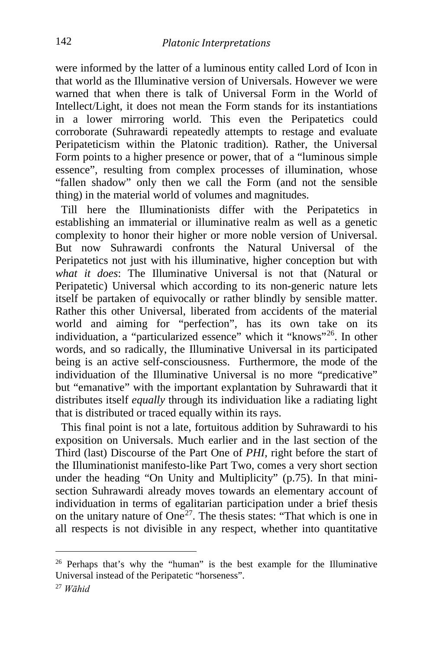were informed by the latter of a luminous entity called Lord of Icon in that world as the Illuminative version of Universals. However we were warned that when there is talk of Universal Form in the World of Intellect/Light, it does not mean the Form stands for its instantiations in a lower mirroring world. This even the Peripatetics could corroborate (Suhrawardi repeatedly attempts to restage and evaluate Peripateticism within the Platonic tradition). Rather, the Universal Form points to a higher presence or power, that of a "luminous simple essence", resulting from complex processes of illumination, whose "fallen shadow" only then we call the Form (and not the sensible thing) in the material world of volumes and magnitudes.

 Till here the Illuminationists differ with the Peripatetics in establishing an immaterial or illuminative realm as well as a genetic complexity to honor their higher or more noble version of Universal. But now Suhrawardi confronts the Natural Universal of the Peripatetics not just with his illuminative, higher conception but with *what it does*: The Illuminative Universal is not that (Natural or Peripatetic) Universal which according to its non-generic nature lets itself be partaken of equivocally or rather blindly by sensible matter. Rather this other Universal, liberated from accidents of the material world and aiming for "perfection", has its own take on its individuation, a "particularized essence" which it "knows"[26.](#page-18-0) In other words, and so radically, the Illuminative Universal in its participated being is an active self-consciousness. Furthermore, the mode of the individuation of the Illuminative Universal is no more "predicative" but "emanative" with the important explantation by Suhrawardi that it distributes itself *equally* through its individuation like a radiating light that is distributed or traced equally within its rays.

 This final point is not a late, fortuitous addition by Suhrawardi to his exposition on Universals. Much earlier and in the last section of the Third (last) Discourse of the Part One of *PHI*, right before the start of the Illuminationist manifesto-like Part Two, comes a very short section under the heading "On Unity and Multiplicity" (p.75). In that minisection Suhrawardi already moves towards an elementary account of individuation in terms of egalitarian participation under a brief thesis on the unitary nature of  $One^{27}$ . The thesis states: "That which is one in all respects is not divisible in any respect, whether into quantitative

<span id="page-18-0"></span><sup>&</sup>lt;sup>26</sup> Perhaps that's why the "human" is the best example for the Illuminative Universal instead of the Peripatetic "horseness".

<span id="page-18-1"></span><sup>27</sup> *Wāhid*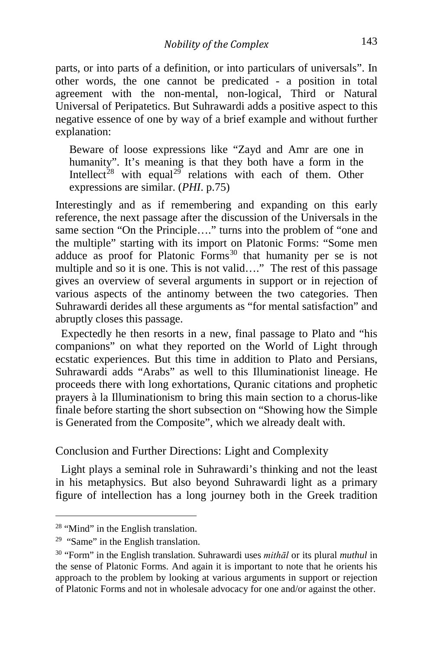parts, or into parts of a definition, or into particulars of universals". In other words, the one cannot be predicated - a position in total agreement with the non-mental, non-logical, Third or Natural Universal of Peripatetics. But Suhrawardi adds a positive aspect to this negative essence of one by way of a brief example and without further explanation:

Beware of loose expressions like "Zayd and Amr are one in humanity". It's meaning is that they both have a form in the Intellect<sup>[28](#page-19-0)</sup> with equal<sup>[29](#page-19-1)</sup> relations with each of them. Other expressions are similar. (*PHI*. p.75)

Interestingly and as if remembering and expanding on this early reference, the next passage after the discussion of the Universals in the same section "On the Principle…." turns into the problem of "one and the multiple" starting with its import on Platonic Forms: "Some men adduce as proof for Platonic Forms<sup>[30](#page-19-2)</sup> that humanity per se is not multiple and so it is one. This is not valid…." The rest of this passage gives an overview of several arguments in support or in rejection of various aspects of the antinomy between the two categories. Then Suhrawardi derides all these arguments as "for mental satisfaction" and abruptly closes this passage.

 Expectedly he then resorts in a new, final passage to Plato and "his companions" on what they reported on the World of Light through ecstatic experiences. But this time in addition to Plato and Persians, Suhrawardi adds "Arabs" as well to this Illuminationist lineage. He proceeds there with long exhortations, Quranic citations and prophetic prayers à la Illuminationism to bring this main section to a chorus-like finale before starting the short subsection on "Showing how the Simple is Generated from the Composite", which we already dealt with.

Conclusion and Further Directions: Light and Complexity

 Light plays a seminal role in Suhrawardi's thinking and not the least in his metaphysics. But also beyond Suhrawardi light as a primary figure of intellection has a long journey both in the Greek tradition

<span id="page-19-0"></span><sup>&</sup>lt;sup>28</sup> "Mind" in the English translation.

<span id="page-19-1"></span> $29$  "Same" in the English translation.

<span id="page-19-2"></span><sup>30</sup> "Form" in the English translation. Suhrawardi uses *mithāl* or its plural *muthul* in the sense of Platonic Forms. And again it is important to note that he orients his approach to the problem by looking at various arguments in support or rejection of Platonic Forms and not in wholesale advocacy for one and/or against the other.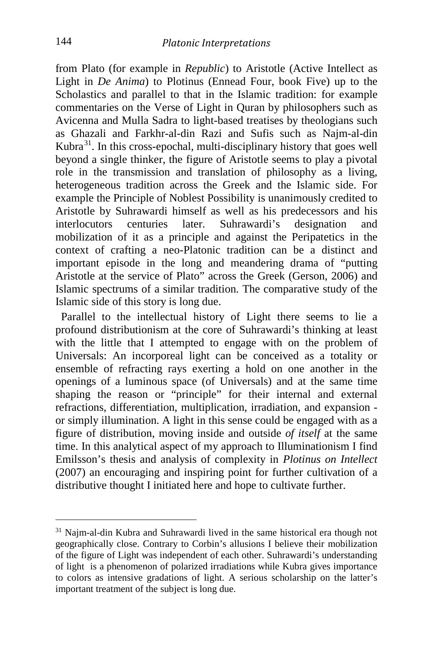from Plato (for example in *Republic*) to Aristotle (Active Intellect as Light in *De Anima*) to Plotinus (Ennead Four, book Five) up to the Scholastics and parallel to that in the Islamic tradition: for example commentaries on the Verse of Light in Quran by philosophers such as Avicenna and Mulla Sadra to light-based treatises by theologians such as Ghazali and Farkhr-al-din Razi and Sufis such as Najm-al-din Kubra[31.](#page-20-0) In this cross-epochal, multi-disciplinary history that goes well beyond a single thinker, the figure of Aristotle seems to play a pivotal role in the transmission and translation of philosophy as a living, heterogeneous tradition across the Greek and the Islamic side. For example the Principle of Noblest Possibility is unanimously credited to Aristotle by Suhrawardi himself as well as his predecessors and his interlocutors centuries later. Suhrawardi's designation and mobilization of it as a principle and against the Peripatetics in the context of crafting a neo-Platonic tradition can be a distinct and important episode in the long and meandering drama of "putting Aristotle at the service of Plato" across the Greek (Gerson, 2006) and Islamic spectrums of a similar tradition. The comparative study of the Islamic side of this story is long due.

 Parallel to the intellectual history of Light there seems to lie a profound distributionism at the core of Suhrawardi's thinking at least with the little that I attempted to engage with on the problem of Universals: An incorporeal light can be conceived as a totality or ensemble of refracting rays exerting a hold on one another in the openings of a luminous space (of Universals) and at the same time shaping the reason or "principle" for their internal and external refractions, differentiation, multiplication, irradiation, and expansion or simply illumination. A light in this sense could be engaged with as a figure of distribution, moving inside and outside *of itself* at the same time. In this analytical aspect of my approach to Illuminationism I find Emilsson's thesis and analysis of complexity in *Plotinus on Intellect* (2007) an encouraging and inspiring point for further cultivation of a distributive thought I initiated here and hope to cultivate further.

<span id="page-20-0"></span><sup>31</sup> Najm-al-din Kubra and Suhrawardi lived in the same historical era though not geographically close. Contrary to Corbin's allusions I believe their mobilization of the figure of Light was independent of each other. Suhrawardi's understanding of light is a phenomenon of polarized irradiations while Kubra gives importance to colors as intensive gradations of light. A serious scholarship on the latter's important treatment of the subject is long due.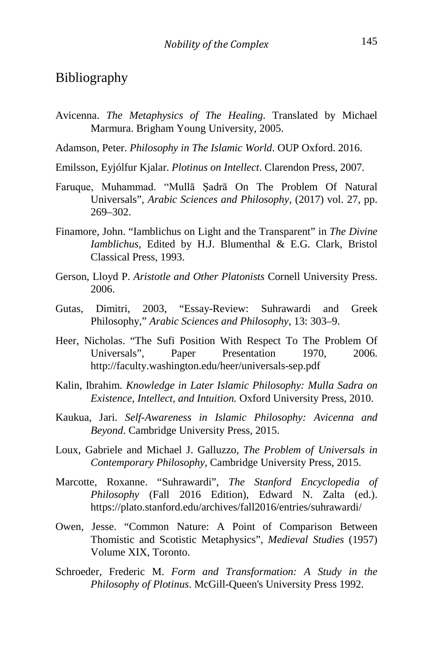### Bibliography

- Avicenna. *The Metaphysics of The Healing*. Translated by Michael Marmura. Brigham Young University, 2005.
- Adamson, Peter. *Philosophy in The Islamic World*. OUP Oxford. 2016.
- Emilsson, Eyjólfur Kjalar. *Plotinus on Intellect*. Clarendon Press, 2007.
- Faruque, Muhammad. "Mullā Ṣadrā On The Problem Of Natural Universals", *Arabic Sciences and Philosophy*, (2017) vol. 27, pp. 269–302.
- Finamore, John. "Iamblichus on Light and the Transparent" in *The Divine Iamblichus*, Edited by H.J. Blumenthal & E.G. Clark, Bristol Classical Press, 1993.
- Gerson, Lloyd P. *Aristotle and Other Platonists* Cornell University Press. 2006.
- Gutas, Dimitri, 2003, "Essay-Review: Suhrawardi and Greek Philosophy," *Arabic Sciences and Philosophy*, 13: 303–9.
- Heer, Nicholas. "The Sufi Position With Respect To The Problem Of Universals", Paper Presentation 1970, 2006. <http://faculty.washington.edu/heer/universals-sep.pdf>
- Kalin, Ibrahim. *Knowledge in Later Islamic Philosophy: Mulla Sadra on Existence, Intellect, and Intuition.* Oxford University Press, 2010.
- Kaukua, Jari. *Self-Awareness in Islamic Philosophy: Avicenna and Beyond*. Cambridge University Press, 2015.
- Loux, Gabriele and Michael J. Galluzzo, *The Problem of Universals in Contemporary Philosophy*, Cambridge University Press, 2015.
- Marcotte, Roxanne. "Suhrawardi", *The Stanford Encyclopedia of Philosophy* (Fall 2016 Edition), Edward N. Zalta (ed.). https://plato.stanford.edu/archives/fall2016/entries/suhrawardi/
- Owen, Jesse. "Common Nature: A Point of Comparison Between Thomistic and Scotistic Metaphysics", *Medieval Studies* (1957) Volume XIX, Toronto.
- Schroeder, Frederic M. *Form and Transformation: A Study in the Philosophy of Plotinus*. McGill-Queen's University Press 1992.